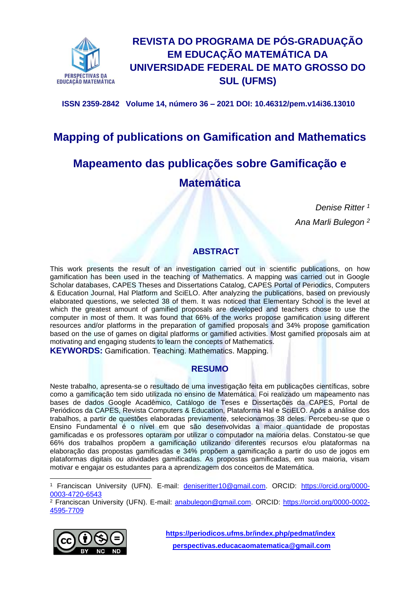

# **REVISTA DO PROGRAMA DE PÓS-GRADUAÇÃO EM EDUCAÇÃO MATEMÁTICA DA UNIVERSIDADE FEDERAL DE MATO GROSSO DO SUL (UFMS)**

**ISSN 2359-2842 Volume 14, número 36 – 2021 DOI: 10.46312/pem.v14i36.13010**

# **Mapping of publications on Gamification and Mathematics**

# **Mapeamento das publicações sobre Gamificação e Matemática**

 *Denise Ritter <sup>1</sup>*

*Ana Marli Bulegon <sup>2</sup>*

## **ABSTRACT**

This work presents the result of an investigation carried out in scientific publications, on how gamification has been used in the teaching of Mathematics. A mapping was carried out in Google Scholar databases, CAPES Theses and Dissertations Catalog, CAPES Portal of Periodics, Computers & Education Journal, Hal Platform and SciELO. After analyzing the publications, based on previously elaborated questions, we selected 38 of them. It was noticed that Elementary School is the level at which the greatest amount of gamified proposals are developed and teachers chose to use the computer in most of them. It was found that 66% of the works propose gamification using different resources and/or platforms in the preparation of gamified proposals and 34% propose gamification based on the use of games on digital platforms or gamified activities. Most gamified proposals aim at motivating and engaging students to learn the concepts of Mathematics.

**KEYWORDS:** Gamification. Teaching. Mathematics. Mapping.

## **RESUMO**

Neste trabalho, apresenta-se o resultado de uma investigação feita em publicações científicas, sobre como a gamificação tem sido utilizada no ensino de Matemática. Foi realizado um mapeamento nas bases de dados Google Acadêmico, Catálogo de Teses e Dissertações da CAPES, Portal de Periódicos da CAPES, Revista Computers & Education, Plataforma Hal e SciELO. Após a análise dos trabalhos, a partir de questões elaboradas previamente, selecionamos 38 deles. Percebeu-se que o Ensino Fundamental é o nível em que são desenvolvidas a maior quantidade de propostas gamificadas e os professores optaram por utilizar o computador na maioria delas. Constatou-se que 66% dos trabalhos propõem a gamificação utilizando diferentes recursos e/ou plataformas na elaboração das propostas gamificadas e 34% propõem a gamificação a partir do uso de jogos em plataformas digitais ou atividades gamificadas. As propostas gamificadas, em sua maioria, visam motivar e engajar os estudantes para a aprendizagem dos conceitos de Matemática.

<sup>2</sup> Franciscan University (UFN). E-mail: [anabulegon@gmail.com.](mailto:anabulegon@gmail.com) ORCID: [https://orcid.org/0000-0002-](https://orcid.org/0000-0002-4595-7709) [4595-7709](https://orcid.org/0000-0002-4595-7709)



**<https://periodicos.ufms.br/index.php/pedmat/index> [perspectivas.educacaomatematica@gmail.com](mailto:perspectivas.educacaomatematica@gmail.com)**

<sup>&</sup>lt;sup>1</sup> Franciscan University (UFN). E-mail: [deniseritter10@gmail.com.](mailto:deniseritter10@gmail.com) ORCID: [https://orcid.org/0000-](https://orcid.org/0000-0003-4720-6543) [0003-4720-6543](https://orcid.org/0000-0003-4720-6543)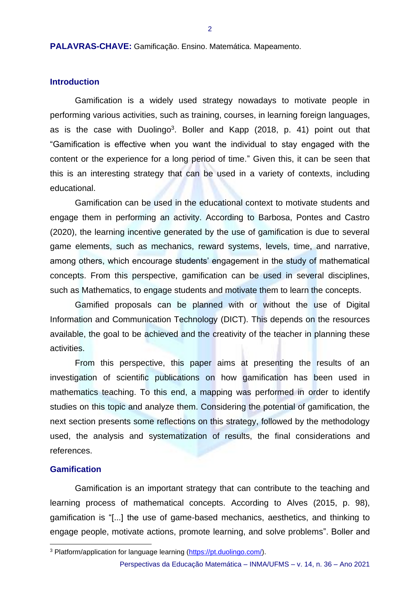**PALAVRAS-CHAVE:** Gamificação. Ensino. Matemática. Mapeamento.

#### **Introduction**

Gamification is a widely used strategy nowadays to motivate people in performing various activities, such as training, courses, in learning foreign languages, as is the case with Duolingo<sup>3</sup>. Boller and Kapp (2018, p. 41) point out that "Gamification is effective when you want the individual to stay engaged with the content or the experience for a long period of time." Given this, it can be seen that this is an interesting strategy that can be used in a variety of contexts, including educational.

Gamification can be used in the educational context to motivate students and engage them in performing an activity. According to Barbosa, Pontes and Castro (2020), the learning incentive generated by the use of gamification is due to several game elements, such as mechanics, reward systems, levels, time, and narrative, among others, which encourage students' engagement in the study of mathematical concepts. From this perspective, gamification can be used in several disciplines, such as Mathematics, to engage students and motivate them to learn the concepts.

Gamified proposals can be planned with or without the use of Digital Information and Communication Technology (DICT). This depends on the resources available, the goal to be achieved and the creativity of the teacher in planning these activities.

From this perspective, this paper aims at presenting the results of an investigation of scientific publications on how gamification has been used in mathematics teaching. To this end, a mapping was performed in order to identify studies on this topic and analyze them. Considering the potential of gamification, the next section presents some reflections on this strategy, followed by the methodology used, the analysis and systematization of results, the final considerations and references.

#### **Gamification**

Gamification is an important strategy that can contribute to the teaching and learning process of mathematical concepts. According to Alves (2015, p. 98), gamification is "[...] the use of game-based mechanics, aesthetics, and thinking to engage people, motivate actions, promote learning, and solve problems". Boller and

<sup>3</sup> Platform/application for language learning [\(https://pt.duolingo.com/\)](https://pt.duolingo.com/).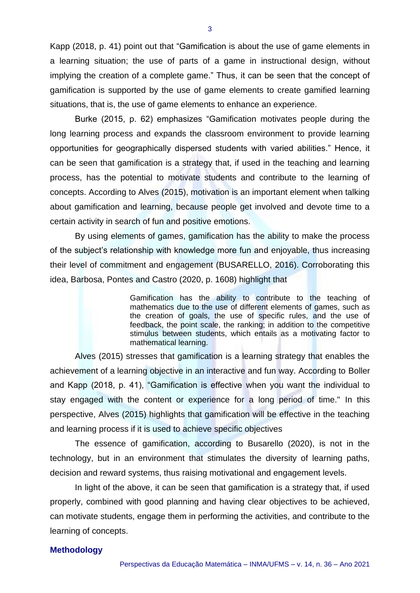Kapp (2018, p. 41) point out that "Gamification is about the use of game elements in a learning situation; the use of parts of a game in instructional design, without implying the creation of a complete game." Thus, it can be seen that the concept of gamification is supported by the use of game elements to create gamified learning situations, that is, the use of game elements to enhance an experience.

Burke (2015, p. 62) emphasizes "Gamification motivates people during the long learning process and expands the classroom environment to provide learning opportunities for geographically dispersed students with varied abilities." Hence, it can be seen that gamification is a strategy that, if used in the teaching and learning process, has the potential to motivate students and contribute to the learning of concepts. According to Alves (2015), motivation is an important element when talking about gamification and learning, because people get involved and devote time to a certain activity in search of fun and positive emotions.

By using elements of games, gamification has the ability to make the process of the subject's relationship with knowledge more fun and enjoyable, thus increasing their level of commitment and engagement (BUSARELLO, 2016). Corroborating this idea, Barbosa, Pontes and Castro (2020, p. 1608) highlight that

> Gamification has the ability to contribute to the teaching of mathematics due to the use of different elements of games, such as the creation of goals, the use of specific rules, and the use of feedback, the point scale, the ranking; in addition to the competitive stimulus between students, which entails as a motivating factor to mathematical learning.

Alves (2015) stresses that gamification is a learning strategy that enables the achievement of a learning objective in an interactive and fun way. According to Boller and Kapp (2018, p. 41), "Gamification is effective when you want the individual to stay engaged with the content or experience for a long period of time." In this perspective, Alves (2015) highlights that gamification will be effective in the teaching and learning process if it is used to achieve specific objectives

The essence of gamification, according to Busarello (2020), is not in the technology, but in an environment that stimulates the diversity of learning paths, decision and reward systems, thus raising motivational and engagement levels.

In light of the above, it can be seen that gamification is a strategy that, if used properly, combined with good planning and having clear objectives to be achieved, can motivate students, engage them in performing the activities, and contribute to the learning of concepts.

#### **Methodology**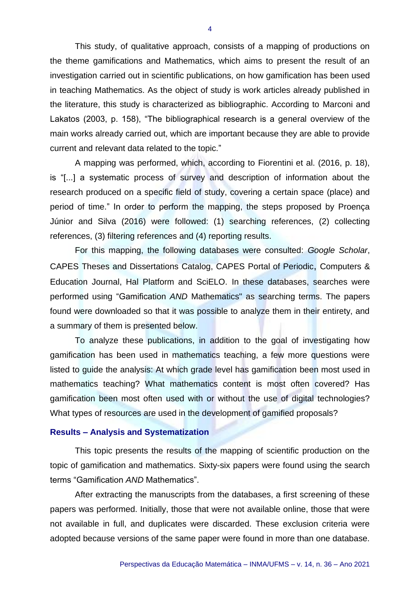This study, of qualitative approach, consists of a mapping of productions on the theme gamifications and Mathematics, which aims to present the result of an investigation carried out in scientific publications, on how gamification has been used in teaching Mathematics. As the object of study is work articles already published in the literature, this study is characterized as bibliographic. According to Marconi and Lakatos (2003, p. 158), "The bibliographical research is a general overview of the main works already carried out, which are important because they are able to provide current and relevant data related to the topic."

A mapping was performed, which, according to Fiorentini et al. (2016, p. 18), is "[...] a systematic process of survey and description of information about the research produced on a specific field of study, covering a certain space (place) and period of time." In order to perform the mapping, the steps proposed by Proença Júnior and Silva (2016) were followed: (1) searching references, (2) collecting references, (3) filtering references and (4) reporting results.

For this mapping, the following databases were consulted: *Google Scholar*, CAPES Theses and Dissertations Catalog, CAPES Portal of Periodic, Computers & Education Journal, Hal Platform and SciELO. In these databases, searches were performed using "Gamification *AND* Mathematics" as searching terms. The papers found were downloaded so that it was possible to analyze them in their entirety, and a summary of them is presented below.

To analyze these publications, in addition to the goal of investigating how gamification has been used in mathematics teaching, a few more questions were listed to guide the analysis: At which grade level has gamification been most used in mathematics teaching? What mathematics content is most often covered? Has gamification been most often used with or without the use of digital technologies? What types of resources are used in the development of gamified proposals?

#### **Results – Analysis and Systematization**

This topic presents the results of the mapping of scientific production on the topic of gamification and mathematics. Sixty-six papers were found using the search terms "Gamification *AND* Mathematics".

After extracting the manuscripts from the databases, a first screening of these papers was performed. Initially, those that were not available online, those that were not available in full, and duplicates were discarded. These exclusion criteria were adopted because versions of the same paper were found in more than one database.

4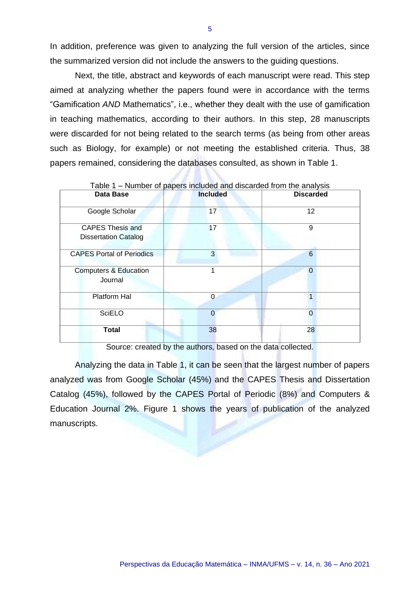In addition, preference was given to analyzing the full version of the articles, since the summarized version did not include the answers to the guiding questions.

Next, the title, abstract and keywords of each manuscript were read. This step aimed at analyzing whether the papers found were in accordance with the terms "Gamification *AND* Mathematics", i.e., whether they dealt with the use of gamification in teaching mathematics, according to their authors. In this step, 28 manuscripts were discarded for not being related to the search terms (as being from other areas such as Biology, for example) or not meeting the established criteria. Thus, 38 papers remained, considering the databases consulted, as shown in Table 1.

| Data Base                                              | <b>Included</b> | <b>Discarded</b> |
|--------------------------------------------------------|-----------------|------------------|
| Google Scholar                                         | 17              | 12               |
| <b>CAPES Thesis and</b><br><b>Dissertation Catalog</b> | 17              | 9                |
| <b>CAPES Portal of Periodics</b>                       | 3               | $6\phantom{1}6$  |
| <b>Computers &amp; Education</b><br>Journal            |                 | $\Omega$         |
| Platform Hal                                           | $\Omega$        |                  |
| <b>SciELO</b>                                          | $\Omega$        | $\Omega$         |
| <b>Total</b>                                           | 38              | 28               |

Table 1 – Number of papers included and discarded from the analysis

Source: created by the authors, based on the data collected.

Analyzing the data in Table 1, it can be seen that the largest number of papers analyzed was from Google Scholar (45%) and the CAPES Thesis and Dissertation Catalog (45%), followed by the CAPES Portal of Periodic (8%) and Computers & Education Journal 2%. Figure 1 shows the years of publication of the analyzed manuscripts.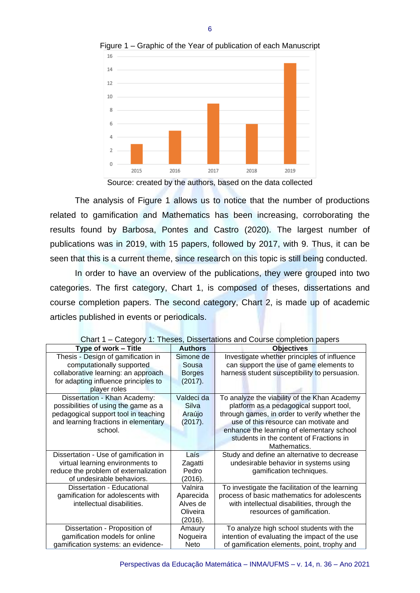

Figure 1 – Graphic of the Year of publication of each Manuscript

Source: created by the authors, based on the data collected

The analysis of Figure 1 allows us to notice that the number of productions related to gamification and Mathematics has been increasing, corroborating the results found by Barbosa, Pontes and Castro (2020). The largest number of publications was in 2019, with 15 papers, followed by 2017, with 9. Thus, it can be seen that this is a current theme, since research on this topic is still being conducted.

In order to have an overview of the publications, they were grouped into two categories. The first category, Chart 1, is composed of theses, dissertations and course completion papers. The second category, Chart 2, is made up of academic articles published in events or periodicals.

| Type of work - Title                  | <b>Authors</b> | <b>Objectives</b>                               |
|---------------------------------------|----------------|-------------------------------------------------|
| Thesis - Design of gamification in    | Simone de      | Investigate whether principles of influence     |
| computationally supported             | Sousa          | can support the use of game elements to         |
| collaborative learning: an approach   | <b>Borges</b>  | harness student susceptibility to persuasion.   |
| for adapting influence principles to  | (2017).        |                                                 |
| player roles                          |                |                                                 |
| Dissertation - Khan Academy:          | Valdeci da     | To analyze the viability of the Khan Academy    |
| possibilities of using the game as a  | Silva          | platform as a pedagogical support tool,         |
| pedagogical support tool in teaching  | Araújo         | through games, in order to verify whether the   |
| and learning fractions in elementary  | (2017).        | use of this resource can motivate and           |
| school.                               |                | enhance the learning of elementary school       |
|                                       |                | students in the content of Fractions in         |
|                                       |                | Mathematics.                                    |
| Dissertation - Use of gamification in | Laís           | Study and define an alternative to decrease     |
| virtual learning environments to      | Zagatti        | undesirable behavior in systems using           |
| reduce the problem of externalization | Pedro          | gamification techniques.                        |
| of undesirable behaviors.             | (2016).        |                                                 |
| Dissertation - Educational            | Valnira        | To investigate the facilitation of the learning |
| gamification for adolescents with     | Aparecida      | process of basic mathematics for adolescents    |
| intellectual disabilities.            | Alves de       | with intellectual disabilities, through the     |
|                                       | Oliveira       | resources of gamification.                      |
|                                       | (2016).        |                                                 |
| Dissertation - Proposition of         | Amaury         | To analyze high school students with the        |
| gamification models for online        | Nogueira       | intention of evaluating the impact of the use   |
| gamification systems: an evidence-    | Neto           | of gamification elements, point, trophy and     |

Chart 1 – Category 1: Theses, Dissertations and Course completion papers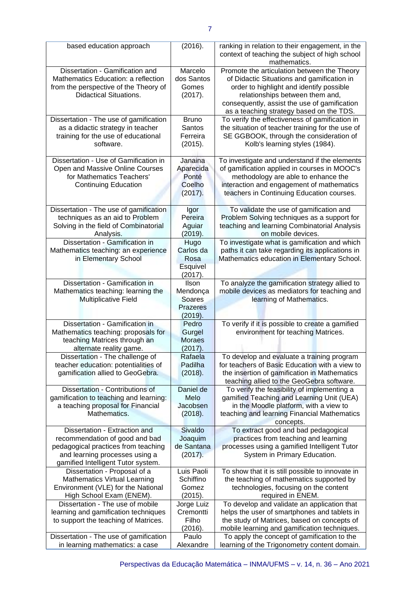| based education approach                                                                                                                                                       | (2016).                                                   | ranking in relation to their engagement, in the<br>context of teaching the subject of high school<br>mathematics.                                                                                                                                                    |
|--------------------------------------------------------------------------------------------------------------------------------------------------------------------------------|-----------------------------------------------------------|----------------------------------------------------------------------------------------------------------------------------------------------------------------------------------------------------------------------------------------------------------------------|
| Dissertation - Gamification and<br>Mathematics Education: a reflection<br>from the perspective of the Theory of<br><b>Didactical Situations.</b>                               | Marcelo<br>dos Santos<br>Gomes<br>(2017).                 | Promote the articulation between the Theory<br>of Didactic Situations and gamification in<br>order to highlight and identify possible<br>relationships between them and,<br>consequently, assist the use of gamification<br>as a teaching strategy based on the TDS. |
| Dissertation - The use of gamification<br>as a didactic strategy in teacher<br>training for the use of educational<br>software.                                                | <b>Bruno</b><br>Santos<br>Ferreira<br>(2015).             | To verify the effectiveness of gamification in<br>the situation of teacher training for the use of<br>SE GGBOOK, through the consideration of<br>Kolb's learning styles (1984).                                                                                      |
| Dissertation - Use of Gamification in<br>Open and Massive Online Courses<br>for Mathematics Teachers'<br><b>Continuing Education</b>                                           | Janaina<br>Aparecida<br>Ponté<br>Coelho<br>(2017).        | To investigate and understand if the elements<br>of gamification applied in courses in MOOC's<br>methodology are able to enhance the<br>interaction and engagement of mathematics<br>teachers in Continuing Education courses.                                       |
| Dissertation - The use of gamification<br>techniques as an aid to Problem<br>Solving in the field of Combinatorial<br>Analysis.                                                | Igor<br>Pereira<br>Aguiar<br>(2019).                      | To validate the use of gamification and<br>Problem Solving techniques as a support for<br>teaching and learning Combinatorial Analysis<br>on mobile devices.                                                                                                         |
| Dissertation - Gamification in<br>Mathematics teaching: an experience<br>in Elementary School                                                                                  | Hugo<br>Carlos da<br>Rosa<br>Esquivel<br>(2017).          | To investigate what is gamification and which<br>paths it can take regarding its applications in<br>Mathematics education in Elementary School.                                                                                                                      |
| Dissertation - Gamification in<br>Mathematics teaching: learning the<br><b>Multiplicative Field</b>                                                                            | Ilson<br>Mendonça<br>Soares<br><b>Prazeres</b><br>(2019). | To analyze the gamification strategy allied to<br>mobile devices as mediators for teaching and<br>learning of Mathematics.                                                                                                                                           |
| Dissertation - Gamification in<br>Mathematics teaching: proposals for<br>teaching Matrices through an<br>alternate reality game.                                               | Pedro<br>Gurgel<br><b>Moraes</b><br>(2017).               | To verify if it is possible to create a gamified<br>environment for teaching Matrices.                                                                                                                                                                               |
| Dissertation - The challenge of<br>teacher education: potentialities of<br>gamification allied to GeoGebra.                                                                    | Rafaela<br>Padilha<br>(2018).                             | To develop and evaluate a training program<br>for teachers of Basic Education with a view to<br>the insertion of gamification in Mathematics<br>teaching allied to the GeoGebra software.                                                                            |
| Dissertation - Contributions of<br>gamification to teaching and learning:<br>a teaching proposal for Financial<br>Mathematics.                                                 | Daniel de<br>Melo<br>Jacobsen<br>(2018).                  | To verify the feasibility of implementing a<br>gamified Teaching and Learning Unit (UEA)<br>in the Moodle platform, with a view to<br>teaching and learning Financial Mathematics<br>concepts.                                                                       |
| Dissertation - Extraction and<br>recommendation of good and bad<br>pedagogical practices from teaching<br>and learning processes using a<br>gamified Intelligent Tutor system. | Sivaldo<br>Joaquim<br>de Santana<br>(2017).               | To extract good and bad pedagogical<br>practices from teaching and learning<br>processes using a gamified Intelligent Tutor<br>System in Primary Education.                                                                                                          |
| Dissertation - Proposal of a<br><b>Mathematics Virtual Learning</b><br>Environment (VLE) for the National<br>High School Exam (ENEM).                                          | Luis Paoli<br>Schiffino<br>Gomez<br>(2015).               | To show that it is still possible to innovate in<br>the teaching of mathematics supported by<br>technologies, focusing on the content<br>required in ENEM.                                                                                                           |
| Dissertation - The use of mobile<br>learning and gamification techniques<br>to support the teaching of Matrices.                                                               | Jorge Luiz<br>Cremontti<br>Filho<br>(2016).               | To develop and validate an application that<br>helps the user of smartphones and tablets in<br>the study of Matrices, based on concepts of<br>mobile learning and gamification techniques.                                                                           |
| Dissertation - The use of gamification<br>in learning mathematics: a case                                                                                                      | Paulo<br>Alexandre                                        | To apply the concept of gamification to the<br>learning of the Trigonometry content domain.                                                                                                                                                                          |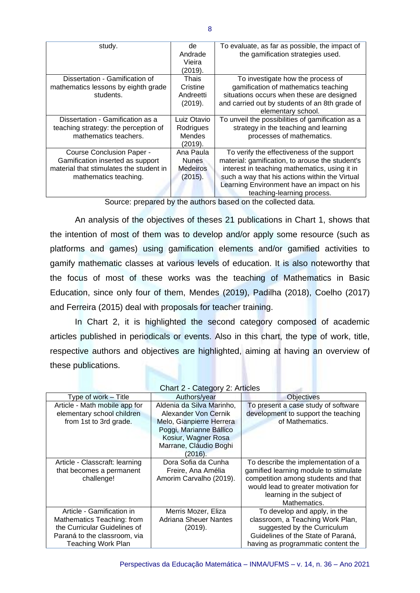| study.                                                                                                                                   | de<br>Andrade<br>Vieira<br>(2019).                      | To evaluate, as far as possible, the impact of<br>the gamification strategies used.                                                                                                                                                                                          |
|------------------------------------------------------------------------------------------------------------------------------------------|---------------------------------------------------------|------------------------------------------------------------------------------------------------------------------------------------------------------------------------------------------------------------------------------------------------------------------------------|
| Dissertation - Gamification of<br>mathematics lessons by eighth grade<br>students.                                                       | Thais<br>Cristine<br>Andreetti<br>(2019).               | To investigate how the process of<br>gamification of mathematics teaching<br>situations occurs when these are designed<br>and carried out by students of an 8th grade of<br>elementary school.                                                                               |
| Dissertation - Gamification as a<br>teaching strategy: the perception of<br>mathematics teachers.                                        | Luiz Otavio<br>Rodrigues<br>Mendes<br>(2019).           | To unveil the possibilities of gamification as a<br>strategy in the teaching and learning<br>processes of mathematics.                                                                                                                                                       |
| <b>Course Conclusion Paper -</b><br>Gamification inserted as support<br>material that stimulates the student in<br>mathematics teaching. | Ana Paula<br><b>Nunes</b><br><b>Medeiros</b><br>(2015). | To verify the effectiveness of the support<br>material: gamification, to arouse the student's<br>interest in teaching mathematics, using it in<br>such a way that his actions within the Virtual<br>Learning Environment have an impact on his<br>teaching-learning process. |

Source: prepared by the authors based on the collected data.

An analysis of the objectives of theses 21 publications in Chart 1, shows that the intention of most of them was to develop and/or apply some resource (such as platforms and games) using gamification elements and/or gamified activities to gamify mathematic classes at various levels of education. It is also noteworthy that the focus of most of these works was the teaching of Mathematics in Basic Education, since only four of them, Mendes (2019), Padilha (2018), Coelho (2017) and Ferreira (2015) deal with proposals for teacher training.

In Chart 2, it is highlighted the second category composed of academic articles published in periodicals or events. Also in this chart, the type of work, title, respective authors and objectives are highlighted, aiming at having an overview of these publications.

| Chart 2 - Category 2: Articles |                              |                                       |
|--------------------------------|------------------------------|---------------------------------------|
| Type of work - Title           | Authors/year                 | <b>Objectives</b>                     |
| Article - Math mobile app for  | Aldenia da Silva Marinho,    | To present a case study of software   |
| elementary school children     | Alexander Von Cernik         | development to support the teaching   |
| from 1st to 3rd grade.         | Melo, Gianpierre Herrera     | of Mathematics.                       |
|                                | Poggi, Marianne Bállico      |                                       |
|                                | Kosiur, Wagner Rosa          |                                       |
|                                | Marrane, Cláudio Boghi       |                                       |
|                                | (2016).                      |                                       |
| Article - Classcraft: learning | Dora Sofia da Cunha          | To describe the implementation of a   |
| that becomes a permanent       | Freire, Ana Amélia           | gamified learning module to stimulate |
| challenge!                     | Amorim Carvalho (2019).      | competition among students and that   |
|                                |                              | would lead to greater motivation for  |
|                                |                              | learning in the subject of            |
|                                |                              | Mathematics.                          |
| Article - Gamification in      | Merris Mozer, Eliza          | To develop and apply, in the          |
| Mathematics Teaching: from     | <b>Adriana Sheuer Nantes</b> | classroom, a Teaching Work Plan,      |
| the Curricular Guidelines of   | (2019).                      | suggested by the Curriculum           |
| Paraná to the classroom, via   |                              | Guidelines of the State of Paraná,    |
| Teaching Work Plan             |                              | having as programmatic content the    |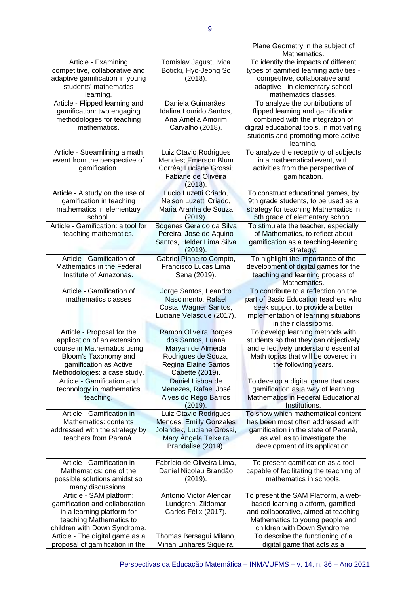|                                                                    |                                                      | Plane Geometry in the subject of<br>Mathematics.                |
|--------------------------------------------------------------------|------------------------------------------------------|-----------------------------------------------------------------|
| Article - Examining                                                | Tomislav Jagust, Ivica                               | To identify the impacts of different                            |
| competitive, collaborative and                                     | Boticki, Hyo-Jeong So                                | types of gamified learning activities -                         |
| adaptive gamification in young                                     | (2018).                                              | competitive, collaborative and                                  |
| students' mathematics                                              |                                                      | adaptive - in elementary school                                 |
| learning.                                                          |                                                      | mathematics classes.                                            |
| Article - Flipped learning and                                     | Daniela Guimarães,                                   | To analyze the contributions of                                 |
|                                                                    |                                                      |                                                                 |
| gamification: two engaging                                         | Idalina Lourido Santos,                              | flipped learning and gamification                               |
| methodologies for teaching                                         | Ana Amélia Amorim                                    | combined with the integration of                                |
| mathematics.                                                       | Carvalho (2018).                                     | digital educational tools, in motivating                        |
|                                                                    |                                                      | students and promoting more active                              |
|                                                                    |                                                      | learning.                                                       |
| Article - Streamlining a math                                      | Luiz Otavio Rodrigues                                | To analyze the receptivity of subjects                          |
| event from the perspective of                                      | Mendes; Emerson Blum                                 | in a mathematical event, with                                   |
| gamification.                                                      | Corrêa; Luciane Grossi;                              | activities from the perspective of                              |
|                                                                    | Fabiane de Oliveira                                  | gamification.                                                   |
|                                                                    | (2018).                                              |                                                                 |
| Article - A study on the use of                                    | Lucio Luzetti Criado,                                | To construct educational games, by                              |
| gamification in teaching                                           | Nelson Luzetti Criado,                               | 9th grade students, to be used as a                             |
| mathematics in elementary                                          | Maria Aranha de Souza                                | strategy for teaching Mathematics in                            |
| school.                                                            | (2019).                                              | 5th grade of elementary school.                                 |
| Article - Gamification: a tool for                                 | Sógenes Geraldo da Silva                             | To stimulate the teacher, especially                            |
| teaching mathematics.                                              | Pereira, José de Aquino                              | of Mathematics, to reflect about                                |
|                                                                    | Santos, Helder Lima Silva                            | gamification as a teaching-learning                             |
|                                                                    | (2019).                                              | strategy.                                                       |
| Article - Gamification of                                          | Gabriel Pinheiro Compto,                             | To highlight the importance of the                              |
| Mathematics in the Federal                                         | Francisco Lucas Lima                                 | development of digital games for the                            |
| Institute of Amazonas.                                             | Sena (2019).                                         | teaching and learning process of                                |
|                                                                    |                                                      | Mathematics.                                                    |
| Article - Gamification of                                          | Jorge Santos, Leandro                                | To contribute to a reflection on the                            |
| mathematics classes                                                | Nascimento, Rafael                                   |                                                                 |
|                                                                    |                                                      | part of Basic Education teachers who                            |
|                                                                    | Costa, Wagner Santos,                                | seek support to provide a better                                |
|                                                                    | Luciane Velasque (2017).                             | implementation of learning situations                           |
|                                                                    |                                                      | in their classrooms.                                            |
| Article - Proposal for the                                         | <b>Ramon Oliveira Borges</b>                         | To develop learning methods with                                |
| application of an extension                                        | dos Santos, Luana                                    | students so that they can objectively                           |
| course in Mathematics using                                        | Maryan de Almeida                                    | and effectively understand essential                            |
| Bloom's Taxonomy and                                               | Rodrigues de Souza,                                  | Math topics that will be covered in                             |
| gamification as Active                                             | <b>Regina Elaine Santos</b>                          | the following years.                                            |
| Methodologies: a case study.                                       | Cabette (2019).                                      |                                                                 |
| Article - Gamification and                                         | Daniel Lisboa de                                     | To develop a digital game that uses                             |
| technology in mathematics                                          | Menezes, Rafael José                                 |                                                                 |
| teaching.                                                          |                                                      | gamification as a way of learning                               |
|                                                                    | Alves do Rego Barros                                 | Mathematics in Federal Educational                              |
|                                                                    | (2019).                                              | Institutions.                                                   |
| Article - Gamification in                                          | Luiz Otavio Rodrigues                                | To show which mathematical content                              |
| Mathematics: contents                                              | Mendes, Emilly Gonzales                              | has been most often addressed with                              |
|                                                                    |                                                      |                                                                 |
| addressed with the strategy by                                     | Jolandek, Luciane Grossi,                            | gamification in the state of Paraná,                            |
| teachers from Paraná.                                              | Mary Ângela Teixeira                                 | as well as to investigate the                                   |
|                                                                    | Brandalise (2019).                                   | development of its application.                                 |
|                                                                    |                                                      |                                                                 |
| Article - Gamification in                                          | Fabrício de Oliveira Lima,                           | To present gamification as a tool                               |
| Mathematics: one of the                                            | Daniel Nicolau Brandão                               | capable of facilitating the teaching of                         |
| possible solutions amidst so                                       | (2019).                                              | mathematics in schools.                                         |
| many discussions.                                                  |                                                      |                                                                 |
| Article - SAM platform:                                            | Antonio Victor Alencar                               | To present the SAM Platform, a web-                             |
| gamification and collaboration                                     | Lundgren, Zildomar                                   | based learning platform, gamified                               |
| in a learning platform for                                         | Carlos Félix (2017).                                 | and collaborative, aimed at teaching                            |
| teaching Mathematics to                                            |                                                      | Mathematics to young people and                                 |
| children with Down Syndrome.                                       |                                                      | children with Down Syndrome.                                    |
| Article - The digital game as a<br>proposal of gamification in the | Thomas Bersagui Milano,<br>Mirian Linhares Siqueira, | To describe the functioning of a<br>digital game that acts as a |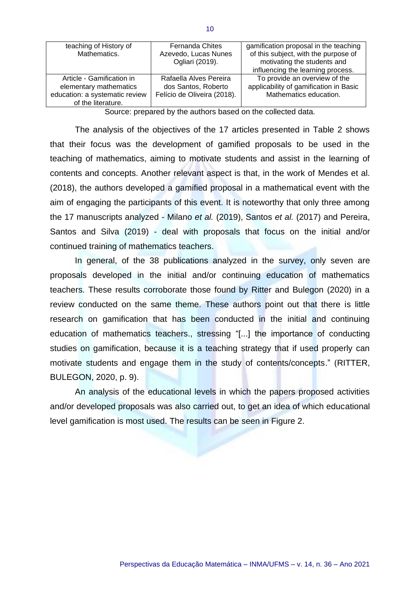| teaching of History of<br>Mathematics.                                                                      | <b>Fernanda Chites</b><br>Azevedo, Lucas Nunes<br>Ogliari (2019).            | gamification proposal in the teaching<br>of this subject, with the purpose of<br>motivating the students and<br>influencing the learning process. |
|-------------------------------------------------------------------------------------------------------------|------------------------------------------------------------------------------|---------------------------------------------------------------------------------------------------------------------------------------------------|
| Article - Gamification in<br>elementary mathematics<br>education: a systematic review<br>of the literature. | Rafaella Alves Pereira<br>dos Santos, Roberto<br>Felício de Oliveira (2018). | To provide an overview of the<br>applicability of gamification in Basic<br>Mathematics education.                                                 |

Source: prepared by the authors based on the collected data.

The analysis of the objectives of the 17 articles presented in Table 2 shows that their focus was the development of gamified proposals to be used in the teaching of mathematics, aiming to motivate students and assist in the learning of contents and concepts. Another relevant aspect is that, in the work of Mendes et al. (2018), the authors developed a gamified proposal in a mathematical event with the aim of engaging the participants of this event. It is noteworthy that only three among the 17 manuscripts analyzed - Milano *et al.* (2019), Santos *et al.* (2017) and Pereira, Santos and Silva (2019) - deal with proposals that focus on the initial and/or continued training of mathematics teachers.

In general, of the 38 publications analyzed in the survey, only seven are proposals developed in the initial and/or continuing education of mathematics teachers. These results corroborate those found by Ritter and Bulegon (2020) in a review conducted on the same theme. These authors point out that there is little research on gamification that has been conducted in the initial and continuing education of mathematics teachers., stressing "[...] the importance of conducting studies on gamification, because it is a teaching strategy that if used properly can motivate students and engage them in the study of contents/concepts." (RITTER, BULEGON, 2020, p. 9).

An analysis of the educational levels in which the papers proposed activities and/or developed proposals was also carried out, to get an idea of which educational level gamification is most used. The results can be seen in Figure 2.

10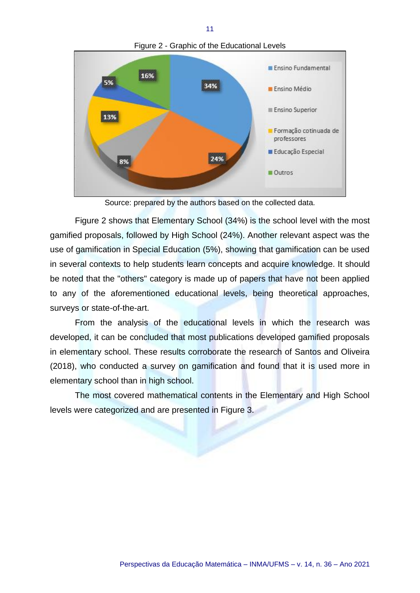

Source: prepared by the authors based on the collected data.

Figure 2 shows that Elementary School (34%) is the school level with the most gamified proposals, followed by High School (24%). Another relevant aspect was the use of gamification in Special Education (5%), showing that gamification can be used in several contexts to help students learn concepts and acquire knowledge. It should be noted that the "others" category is made up of papers that have not been applied to any of the aforementioned educational levels, being theoretical approaches, surveys or state-of-the-art.

From the analysis of the educational levels in which the research was developed, it can be concluded that most publications developed gamified proposals in elementary school. These results corroborate the research of Santos and Oliveira (2018), who conducted a survey on gamification and found that it is used more in elementary school than in high school.

The most covered mathematical contents in the Elementary and High School levels were categorized and are presented in Figure 3.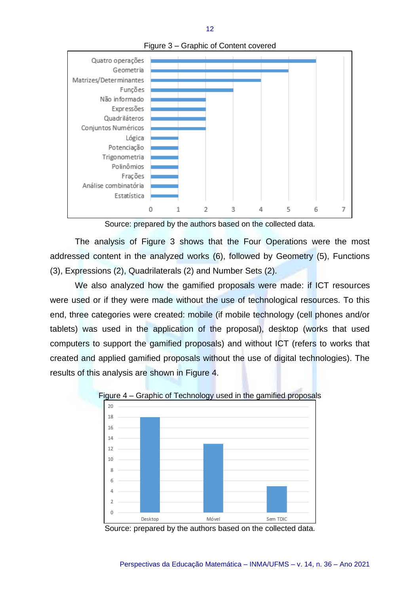

Figure 3 – Graphic of Content covered

12

Source: prepared by the authors based on the collected data.

The analysis of Figure 3 shows that the Four Operations were the most addressed content in the analyzed works (6), followed by Geometry (5), Functions (3), Expressions (2), Quadrilaterals (2) and Number Sets (2).

We also analyzed how the gamified proposals were made: if ICT resources were used or if they were made without the use of technological resources. To this end, three categories were created: mobile (if mobile technology (cell phones and/or tablets) was used in the application of the proposal), desktop (works that used computers to support the gamified proposals) and without ICT (refers to works that created and applied gamified proposals without the use of digital technologies). The results of this analysis are shown in Figure 4.





Source: prepared by the authors based on the collected data.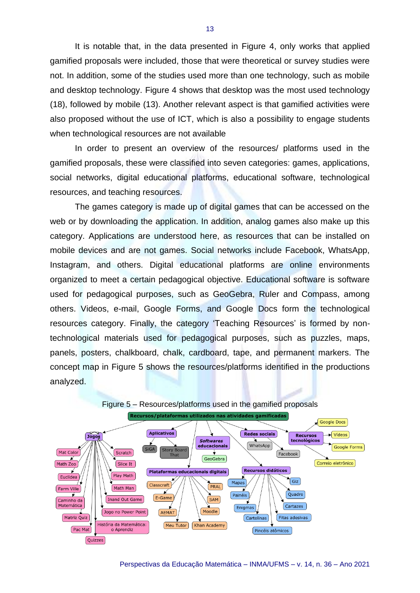It is notable that, in the data presented in Figure 4, only works that applied gamified proposals were included, those that were theoretical or survey studies were not. In addition, some of the studies used more than one technology, such as mobile and desktop technology. Figure 4 shows that desktop was the most used technology (18), followed by mobile (13). Another relevant aspect is that gamified activities were also proposed without the use of ICT, which is also a possibility to engage students when technological resources are not available

In order to present an overview of the resources/ platforms used in the gamified proposals, these were classified into seven categories: games, applications, social networks, digital educational platforms, educational software, technological resources, and teaching resources.

The games category is made up of digital games that can be accessed on the web or by downloading the application. In addition, analog games also make up this category. Applications are understood here, as resources that can be installed on mobile devices and are not games. Social networks include Facebook, WhatsApp, Instagram, and others. Digital educational platforms are online environments organized to meet a certain pedagogical objective. Educational software is software used for pedagogical purposes, such as GeoGebra, Ruler and Compass, among others. Videos, e-mail, Google Forms, and Google Docs form the technological resources category. Finally, the category 'Teaching Resources' is formed by nontechnological materials used for pedagogical purposes, such as puzzles, maps, panels, posters, chalkboard, chalk, cardboard, tape, and permanent markers. The concept map in Figure 5 shows the resources/platforms identified in the productions analyzed.

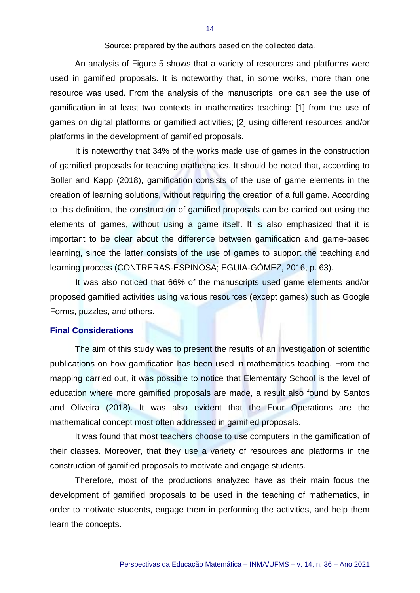Source: prepared by the authors based on the collected data.

An analysis of Figure 5 shows that a variety of resources and platforms were used in gamified proposals. It is noteworthy that, in some works, more than one resource was used. From the analysis of the manuscripts, one can see the use of gamification in at least two contexts in mathematics teaching: [1] from the use of games on digital platforms or gamified activities; [2] using different resources and/or platforms in the development of gamified proposals.

It is noteworthy that 34% of the works made use of games in the construction of gamified proposals for teaching mathematics. It should be noted that, according to Boller and Kapp (2018), gamification consists of the use of game elements in the creation of learning solutions, without requiring the creation of a full game. According to this definition, the construction of gamified proposals can be carried out using the elements of games, without using a game itself. It is also emphasized that it is important to be clear about the difference between gamification and game-based learning, since the latter consists of the use of games to support the teaching and learning process (CONTRERAS-ESPINOSA; EGUIA-GÓMEZ, 2016, p. 63).

It was also noticed that 66% of the manuscripts used game elements and/or proposed gamified activities using various resources (except games) such as Google Forms, puzzles, and others.

#### **Final Considerations**

The aim of this study was to present the results of an investigation of scientific publications on how gamification has been used in mathematics teaching. From the mapping carried out, it was possible to notice that Elementary School is the level of education where more gamified proposals are made, a result also found by Santos and Oliveira (2018). It was also evident that the Four Operations are the mathematical concept most often addressed in gamified proposals.

It was found that most teachers choose to use computers in the gamification of their classes. Moreover, that they use a variety of resources and platforms in the construction of gamified proposals to motivate and engage students.

Therefore, most of the productions analyzed have as their main focus the development of gamified proposals to be used in the teaching of mathematics, in order to motivate students, engage them in performing the activities, and help them learn the concepts.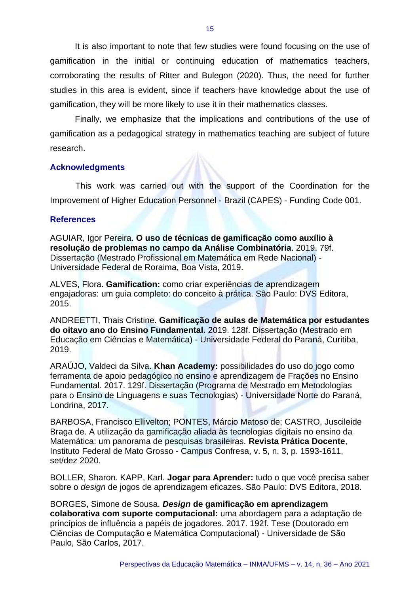It is also important to note that few studies were found focusing on the use of gamification in the initial or continuing education of mathematics teachers, corroborating the results of Ritter and Bulegon (2020). Thus, the need for further studies in this area is evident, since if teachers have knowledge about the use of gamification, they will be more likely to use it in their mathematics classes.

Finally, we emphasize that the implications and contributions of the use of gamification as a pedagogical strategy in mathematics teaching are subject of future research.

#### **Acknowledgments**

This work was carried out with the support of the Coordination for the Improvement of Higher Education Personnel - Brazil (CAPES) - Funding Code 001.

### **References**

AGUIAR, Igor Pereira. **O uso de técnicas de gamificação como auxílio à resolução de problemas no campo da Análise Combinatória**. 2019. 79f. Dissertação (Mestrado Profissional em Matemática em Rede Nacional) - Universidade Federal de Roraima, Boa Vista, 2019.

ALVES, Flora. **Gamification:** como criar experiências de aprendizagem engajadoras: um guia completo: do conceito à prática. São Paulo: DVS Editora, 2015.

ANDREETTI, Thais Cristine. **Gamificação de aulas de Matemática por estudantes do oitavo ano do Ensino Fundamental.** 2019. 128f. Dissertação (Mestrado em Educação em Ciências e Matemática) - Universidade Federal do Paraná, Curitiba, 2019.

ARAÚJO, Valdeci da Silva. **Khan Academy:** possibilidades do uso do jogo como ferramenta de apoio pedagógico no ensino e aprendizagem de Frações no Ensino Fundamental. 2017. 129f. Dissertação (Programa de Mestrado em Metodologias para o Ensino de Linguagens e suas Tecnologias) - Universidade Norte do Paraná, Londrina, 2017.

BARBOSA, Francisco Ellivelton; PONTES, Márcio Matoso de; CASTRO, Juscileide Braga de. A utilização da gamificação aliada às tecnologias digitais no ensino da Matemática: um panorama de pesquisas brasileiras. **Revista Prática Docente**, Instituto Federal de Mato Grosso - Campus Confresa, v. 5, n. 3, p. 1593-1611, set/dez 2020.

BOLLER, Sharon. KAPP, Karl. **Jogar para Aprender:** tudo o que você precisa saber sobre o *design* de jogos de aprendizagem eficazes. São Paulo: DVS Editora, 2018.

BORGES, Simone de Sousa. *Design* **de gamificação em aprendizagem colaborativa com suporte computacional:** uma abordagem para a adaptação de princípios de influência a papéis de jogadores. 2017. 192f. Tese (Doutorado em Ciências de Computação e Matemática Computacional) - Universidade de São Paulo, São Carlos, 2017.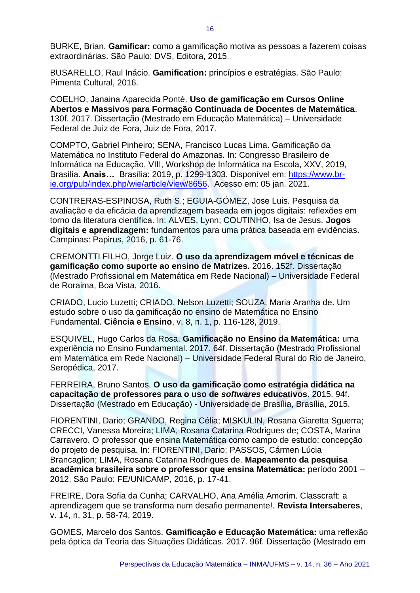BURKE, Brian. **Gamificar:** como a gamificação motiva as pessoas a fazerem coisas extraordinárias. São Paulo: DVS, Editora, 2015.

BUSARELLO, Raul Inácio. **Gamification:** princípios e estratégias. São Paulo: Pimenta Cultural, 2016.

COELHO, Janaina Aparecida Ponté. **Uso de gamificação em Cursos Online Abertos e Massivos para Formação Continuada de Docentes de Matemática**. 130f. 2017. Dissertação (Mestrado em Educação Matemática) – Universidade Federal de Juiz de Fora, Juiz de Fora, 2017.

COMPTO, Gabriel Pinheiro; SENA, Francisco Lucas Lima. Gamificação da Matemática no Instituto Federal do Amazonas. In: Congresso Brasileiro de Informática na Educação, VIII, Workshop de Informática na Escola, XXV, 2019, Brasília. **Anais…** Brasília: 2019, p. 1299-1303. Disponível em: [https://www.br](https://www.br-ie.org/pub/index.php/wie/article/view/8656)[ie.org/pub/index.php/wie/article/view/8656.](https://www.br-ie.org/pub/index.php/wie/article/view/8656) Acesso em: 05 jan. 2021.

CONTRERAS-ESPINOSA, Ruth S.; EGUIA-GÓMEZ, Jose Luis. Pesquisa da avaliação e da eficácia da aprendizagem baseada em jogos digitais: reflexões em torno da literatura científica. In: ALVES, Lynn; COUTINHO, Isa de Jesus. **Jogos digitais e aprendizagem:** fundamentos para uma prática baseada em evidências. Campinas: Papirus, 2016, p. 61-76.

CREMONTTI FILHO, Jorge Luiz. **O uso da aprendizagem móvel e técnicas de gamificação como suporte ao ensino de Matrizes.** 2016. 152f. Dissertação (Mestrado Profissional em Matemática em Rede Nacional) – Universidade Federal de Roraima, Boa Vista, 2016.

CRIADO, Lucio Luzetti; CRIADO, Nelson Luzetti; SOUZA, Maria Aranha de. Um estudo sobre o uso da gamificação no ensino de Matemática no Ensino Fundamental. **Ciência e Ensino**, v. 8, n. 1, p. 116-128, 2019.

ESQUIVEL, Hugo Carlos da Rosa. **Gamificação no Ensino da Matemática:** uma experiência no Ensino Fundamental. 2017. 64f. Dissertação (Mestrado Profissional em Matemática em Rede Nacional) – Universidade Federal Rural do Rio de Janeiro, Seropédica, 2017.

FERREIRA, Bruno Santos. **O uso da gamificação como estratégia didática na capacitação de professores para o uso de** *softwares* **educativos**. 2015. 94f. Dissertação (Mestrado em Educação) - Universidade de Brasília, Brasília, 2015.

FIORENTINI, Dario; GRANDO, Regina Célia; MISKULIN, Rosana Giaretta Sguerra; CRECCI, Vanessa Moreira; LIMA, Rosana Catarina Rodrigues de; COSTA, Marina Carravero. O professor que ensina Matemática como campo de estudo: concepção do projeto de pesquisa. In: FIORENTINI, Dario; PASSOS, Cármen Lúcia Brancaglion; LIMA, Rosana Catarina Rodrigues de. **Mapeamento da pesquisa acadêmica brasileira sobre o professor que ensina Matemática:** período 2001 – 2012. São Paulo: FE/UNICAMP, 2016, p. 17-41.

FREIRE, Dora Sofia da Cunha; CARVALHO, Ana Amélia Amorim. Classcraft: a aprendizagem que se transforma num desafio permanente!. **Revista Intersaberes**, v. 14, n. 31, p. 58-74, 2019.

GOMES, Marcelo dos Santos. **Gamificação e Educação Matemática:** uma reflexão pela óptica da Teoria das Situações Didáticas. 2017. 96f. Dissertação (Mestrado em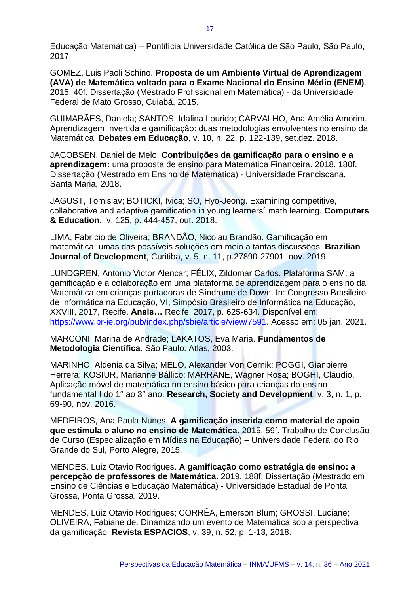Educação Matemática) – Pontifícia Universidade Católica de São Paulo, São Paulo, 2017.

GOMEZ, Luis Paoli Schino. **Proposta de um Ambiente Virtual de Aprendizagem (AVA) de Matemática voltado para o Exame Nacional do Ensino Médio (ENEM)**. 2015. 40f. Dissertação (Mestrado Profissional em Matemática) - da Universidade Federal de Mato Grosso, Cuiabá, 2015.

GUIMARÃES, Daniela; SANTOS, Idalina Lourido; CARVALHO, Ana Amélia Amorim. Aprendizagem Invertida e gamificação: duas metodologias envolventes no ensino da Matemática. **Debates em Educação**, v. 10, n, 22, p. 122-139, set.dez. 2018.

JACOBSEN, Daniel de Melo. **Contribuições da gamificação para o ensino e a aprendizagem:** uma proposta de ensino para Matemática Financeira. 2018. 180f. Dissertação (Mestrado em Ensino de Matemática) - Universidade Franciscana, Santa Maria, 2018.

JAGUST, Tomislav; BOTICKI, Ivica; SO, Hyo-Jeong. Examining competitive, collaborative and adaptive gamification in young learners´ math learning. **Computers & Education**., v. 125, p. 444-457, out. 2018.

LIMA, Fabrício de Oliveira; BRANDÃO, Nicolau Brandão. Gamificação em matemática: umas das possíveis soluções em meio a tantas discussões. **Brazilian Journal of Development**, Curitiba, v. 5, n. 11, p.27890-27901, nov. 2019.

LUNDGREN, Antonio Victor Alencar; FÉLIX, Zildomar Carlos. Plataforma SAM: a gamificação e a colaboração em uma plataforma de aprendizagem para o ensino da Matemática em crianças portadoras de Síndrome de Down. In: Congresso Brasileiro de Informática na Educação, VI, Simpósio Brasileiro de Informática na Educação, XXVIII, 2017, Recife. **Anais…** Recife: 2017, p. 625-634. Disponível em: [https://www.br-ie.org/pub/index.php/sbie/article/view/7591.](https://www.br-ie.org/pub/index.php/sbie/article/view/7591) Acesso em: 05 jan. 2021.

MARCONI, Marina de Andrade; LAKATOS, Eva Maria. **Fundamentos de Metodologia Científica**. São Paulo: Atlas, 2003.

MARINHO, Aldenia da Silva; MELO, Alexander Von Cernik; POGGI, Gianpierre Herrera; KOSIUR, Marianne Bállico; MARRANE, Wagner Rosa; BOGHI, Cláudio. Aplicação móvel de matemática no ensino básico para crianças do ensino fundamental I do 1° ao 3° ano. **Research, Society and Development**, v. 3, n. 1, p. 69-90, nov. 2016.

MEDEIROS, Ana Paula Nunes. **A gamificação inserida como material de apoio que estimula o aluno no ensino de Matemática**. 2015. 59f. Trabalho de Conclusão de Curso (Especialização em Mídias na Educação) – Universidade Federal do Rio Grande do Sul, Porto Alegre, 2015.

MENDES, Luiz Otavio Rodrigues. **A gamificação como estratégia de ensino: a percepção de professores de Matemática**. 2019. 188f. Dissertação (Mestrado em Ensino de Ciências e Educação Matemática) - Universidade Estadual de Ponta Grossa, Ponta Grossa, 2019.

MENDES, Luiz Otavio Rodrigues; CORRÊA, Emerson Blum; GROSSI, Luciane; OLIVEIRA, Fabiane de. Dinamizando um evento de Matemática sob a perspectiva da gamificação. **Revista ESPACIOS**, v. 39, n. 52, p. 1-13, 2018.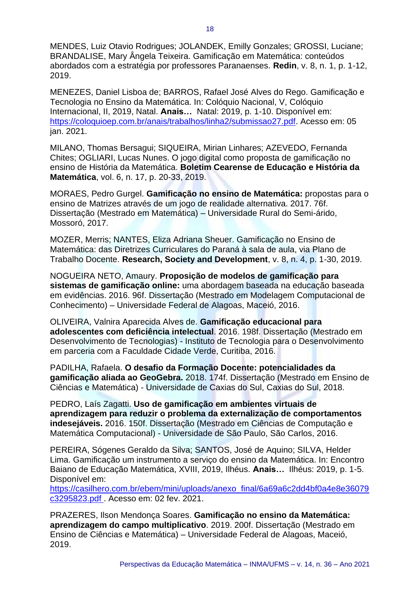MENDES, Luiz Otavio Rodrigues; JOLANDEK, Emilly Gonzales; GROSSI, Luciane; BRANDALISE, Mary Ângela Teixeira. Gamificação em Matemática: conteúdos abordados com a estratégia por professores Paranaenses. **Redin**, v. 8, n. 1, p. 1-12, 2019.

MENEZES, Daniel Lisboa de; BARROS, Rafael José Alves do Rego. Gamificação e Tecnologia no Ensino da Matemática. In: Colóquio Nacional, V, Colóquio Internacional, II, 2019, Natal. **Anais…** Natal: 2019, p. 1-10. Disponível em: [https://coloquioep.com.br/anais/trabalhos/linha2/submissao27.pdf.](https://coloquioep.com.br/anais/trabalhos/linha2/submissao27.pdf) Acesso em: 05 jan. 2021.

MILANO, Thomas Bersagui; SIQUEIRA, Mirian Linhares; AZEVEDO, Fernanda Chites; OGLIARI, Lucas Nunes. O jogo digital como proposta de gamificação no ensino de História da Matemática. **Boletim Cearense de Educação e História da Matemática**, vol. 6, n. 17, p. 20-33, 2019.

MORAES, Pedro Gurgel. **Gamificação no ensino de Matemática:** propostas para o ensino de Matrizes através de um jogo de realidade alternativa. 2017. 76f. Dissertação (Mestrado em Matemática) – Universidade Rural do Semi-árido, Mossoró, 2017.

MOZER, Merris; NANTES, Eliza Adriana Sheuer. Gamificação no Ensino de Matemática: das Diretrizes Curriculares do Paraná à sala de aula, via Plano de Trabalho Docente. **Research, Society and Development**, v. 8, n. 4, p. 1-30, 2019.

NOGUEIRA NETO, Amaury. **Proposição de modelos de gamificação para sistemas de gamificação online:** uma abordagem baseada na educação baseada em evidências. 2016. 96f. Dissertação (Mestrado em Modelagem Computacional de Conhecimento) – Universidade Federal de Alagoas, Maceió, 2016.

OLIVEIRA, Valnira Aparecida Alves de. **Gamificação educacional para adolescentes com deficiência intelectual**. 2016. 198f. Dissertação (Mestrado em Desenvolvimento de Tecnologias) - Instituto de Tecnologia para o Desenvolvimento em parceria com a Faculdade Cidade Verde, Curitiba, 2016.

PADILHA, Rafaela. **O desafio da Formação Docente: potencialidades da gamificação aliada ao GeoGebra.** 2018. 174f. Dissertação (Mestrado em Ensino de Ciências e Matemática) - Universidade de Caxias do Sul, Caxias do Sul, 2018.

PEDRO, Laís Zagatti. **Uso de gamificação em ambientes virtuais de aprendizagem para reduzir o problema da externalização de comportamentos indesejáveis.** 2016. 150f. Dissertação (Mestrado em Ciências de Computação e Matemática Computacional) - Universidade de São Paulo, São Carlos, 2016.

PEREIRA, Sógenes Geraldo da Silva; SANTOS, José de Aquino; SILVA, Helder Lima. Gamificação um instrumento a serviço do ensino da Matemática. In: Encontro Baiano de Educação Matemática, XVIII, 2019, Ilhéus. **Anais…** Ilhéus: 2019, p. 1-5. Disponível em:

[https://casilhero.com.br/ebem/mini/uploads/anexo\\_final/6a69a6c2dd4bf0a4e8e36079](https://casilhero.com.br/ebem/mini/uploads/anexo_final/6a69a6c2dd4bf0a4e8e36079c3295823.pdf) [c3295823.pdf](https://casilhero.com.br/ebem/mini/uploads/anexo_final/6a69a6c2dd4bf0a4e8e36079c3295823.pdf) . Acesso em: 02 fev. 2021.

PRAZERES, Ilson Mendonça Soares. **Gamificação no ensino da Matemática: aprendizagem do campo multiplicativo**. 2019. 200f. Dissertação (Mestrado em Ensino de Ciências e Matemática) – Universidade Federal de Alagoas, Maceió, 2019.